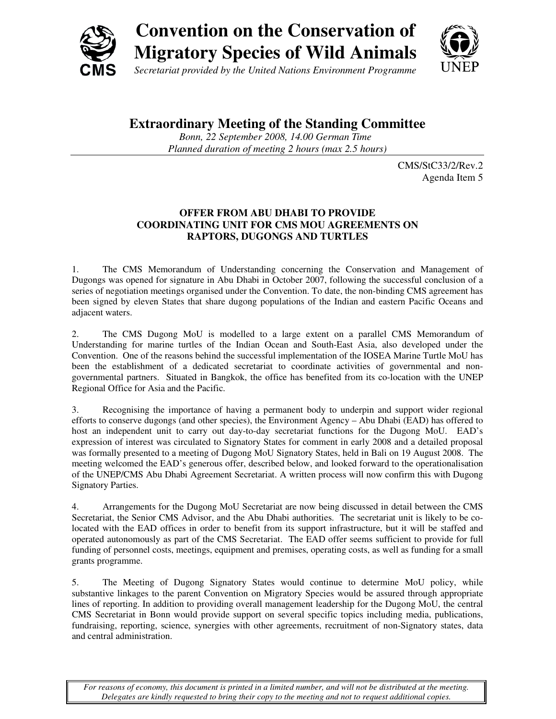

# **Convention on the Conservation of Migratory Species of Wild Animals**

*Secretariat provided by the United Nations Environment Programme* 

## **Extraordinary Meeting of the Standing Committee**

*Bonn, 22 September 2008, 14.00 German Time Planned duration of meeting 2 hours (max 2.5 hours)*

> CMS/StC33/2/Rev.2 Agenda Item 5

### **OFFER FROM ABU DHABI TO PROVIDE COORDINATING UNIT FOR CMS MOU AGREEMENTS ON RAPTORS, DUGONGS AND TURTLES**

1. The CMS Memorandum of Understanding concerning the Conservation and Management of Dugongs was opened for signature in Abu Dhabi in October 2007, following the successful conclusion of a series of negotiation meetings organised under the Convention. To date, the non-binding CMS agreement has been signed by eleven States that share dugong populations of the Indian and eastern Pacific Oceans and adjacent waters.

2. The CMS Dugong MoU is modelled to a large extent on a parallel CMS Memorandum of Understanding for marine turtles of the Indian Ocean and South-East Asia, also developed under the Convention. One of the reasons behind the successful implementation of the IOSEA Marine Turtle MoU has been the establishment of a dedicated secretariat to coordinate activities of governmental and nongovernmental partners. Situated in Bangkok, the office has benefited from its co-location with the UNEP Regional Office for Asia and the Pacific.

3. Recognising the importance of having a permanent body to underpin and support wider regional efforts to conserve dugongs (and other species), the Environment Agency – Abu Dhabi (EAD) has offered to host an independent unit to carry out day-to-day secretariat functions for the Dugong MoU. EAD's expression of interest was circulated to Signatory States for comment in early 2008 and a detailed proposal was formally presented to a meeting of Dugong MoU Signatory States, held in Bali on 19 August 2008. The meeting welcomed the EAD's generous offer, described below, and looked forward to the operationalisation of the UNEP/CMS Abu Dhabi Agreement Secretariat. A written process will now confirm this with Dugong Signatory Parties.

4. Arrangements for the Dugong MoU Secretariat are now being discussed in detail between the CMS Secretariat, the Senior CMS Advisor, and the Abu Dhabi authorities. The secretariat unit is likely to be colocated with the EAD offices in order to benefit from its support infrastructure, but it will be staffed and operated autonomously as part of the CMS Secretariat. The EAD offer seems sufficient to provide for full funding of personnel costs, meetings, equipment and premises, operating costs, as well as funding for a small grants programme.

5. The Meeting of Dugong Signatory States would continue to determine MoU policy, while substantive linkages to the parent Convention on Migratory Species would be assured through appropriate lines of reporting. In addition to providing overall management leadership for the Dugong MoU, the central CMS Secretariat in Bonn would provide support on several specific topics including media, publications, fundraising, reporting, science, synergies with other agreements, recruitment of non-Signatory states, data and central administration.

*For reasons of economy, this document is printed in a limited number, and will not be distributed at the meeting. Delegates are kindly requested to bring their copy to the meeting and not to request additional copies.*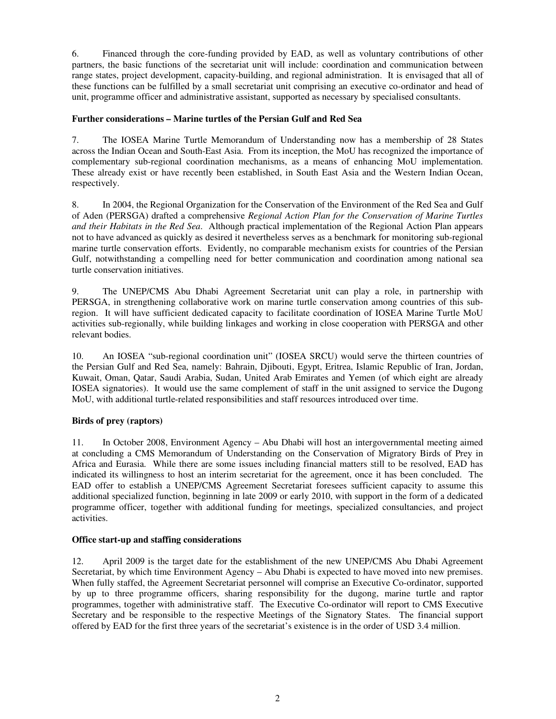6. Financed through the core-funding provided by EAD, as well as voluntary contributions of other partners, the basic functions of the secretariat unit will include: coordination and communication between range states, project development, capacity-building, and regional administration. It is envisaged that all of these functions can be fulfilled by a small secretariat unit comprising an executive co-ordinator and head of unit, programme officer and administrative assistant, supported as necessary by specialised consultants.

#### **Further considerations – Marine turtles of the Persian Gulf and Red Sea**

7. The IOSEA Marine Turtle Memorandum of Understanding now has a membership of 28 States across the Indian Ocean and South-East Asia. From its inception, the MoU has recognized the importance of complementary sub-regional coordination mechanisms, as a means of enhancing MoU implementation. These already exist or have recently been established, in South East Asia and the Western Indian Ocean, respectively.

8. In 2004, the Regional Organization for the Conservation of the Environment of the Red Sea and Gulf of Aden (PERSGA) drafted a comprehensive *Regional Action Plan for the Conservation of Marine Turtles and their Habitats in the Red Sea*. Although practical implementation of the Regional Action Plan appears not to have advanced as quickly as desired it nevertheless serves as a benchmark for monitoring sub-regional marine turtle conservation efforts. Evidently, no comparable mechanism exists for countries of the Persian Gulf, notwithstanding a compelling need for better communication and coordination among national sea turtle conservation initiatives.

9. The UNEP/CMS Abu Dhabi Agreement Secretariat unit can play a role, in partnership with PERSGA, in strengthening collaborative work on marine turtle conservation among countries of this subregion. It will have sufficient dedicated capacity to facilitate coordination of IOSEA Marine Turtle MoU activities sub-regionally, while building linkages and working in close cooperation with PERSGA and other relevant bodies.

10. An IOSEA "sub-regional coordination unit" (IOSEA SRCU) would serve the thirteen countries of the Persian Gulf and Red Sea, namely: Bahrain, Djibouti, Egypt, Eritrea, Islamic Republic of Iran, Jordan, Kuwait, Oman, Qatar, Saudi Arabia, Sudan, United Arab Emirates and Yemen (of which eight are already IOSEA signatories). It would use the same complement of staff in the unit assigned to service the Dugong MoU, with additional turtle-related responsibilities and staff resources introduced over time.

#### **Birds of prey (raptors)**

11. In October 2008, Environment Agency – Abu Dhabi will host an intergovernmental meeting aimed at concluding a CMS Memorandum of Understanding on the Conservation of Migratory Birds of Prey in Africa and Eurasia. While there are some issues including financial matters still to be resolved, EAD has indicated its willingness to host an interim secretariat for the agreement, once it has been concluded. The EAD offer to establish a UNEP/CMS Agreement Secretariat foresees sufficient capacity to assume this additional specialized function, beginning in late 2009 or early 2010, with support in the form of a dedicated programme officer, together with additional funding for meetings, specialized consultancies, and project activities.

#### **Office start-up and staffing considerations**

12. April 2009 is the target date for the establishment of the new UNEP/CMS Abu Dhabi Agreement Secretariat, by which time Environment Agency – Abu Dhabi is expected to have moved into new premises. When fully staffed, the Agreement Secretariat personnel will comprise an Executive Co-ordinator, supported by up to three programme officers, sharing responsibility for the dugong, marine turtle and raptor programmes, together with administrative staff. The Executive Co-ordinator will report to CMS Executive Secretary and be responsible to the respective Meetings of the Signatory States. The financial support offered by EAD for the first three years of the secretariat's existence is in the order of USD 3.4 million.